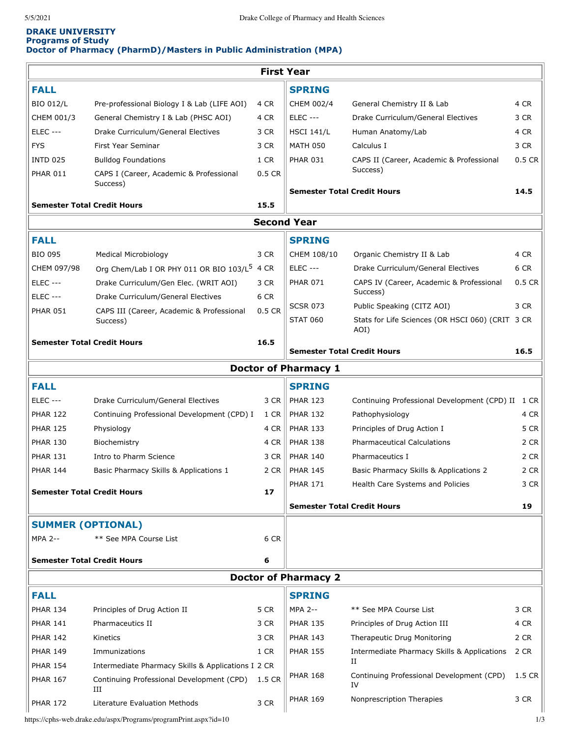## **DRAKE UNIVERSITY Programs of Study Doctor of Pharmacy (PharmD)/Masters in Public Administration (MPA)**

| <b>First Year</b>                  |                                                       |        |                                    |                                                      |          |  |  |  |  |  |
|------------------------------------|-------------------------------------------------------|--------|------------------------------------|------------------------------------------------------|----------|--|--|--|--|--|
| <b>FALL</b>                        |                                                       |        | <b>SPRING</b>                      |                                                      |          |  |  |  |  |  |
| <b>BIO 012/L</b>                   | Pre-professional Biology I & Lab (LIFE AOI)           | 4 CR   | CHEM 002/4                         | General Chemistry II & Lab                           | 4 CR     |  |  |  |  |  |
| CHEM 001/3                         | General Chemistry I & Lab (PHSC AOI)                  | 4 CR   | <b>ELEC ---</b>                    | Drake Curriculum/General Electives                   | 3 CR     |  |  |  |  |  |
| <b>ELEC ---</b>                    | Drake Curriculum/General Electives                    | 3 CR   | <b>HSCI 141/L</b>                  | Human Anatomy/Lab                                    | 4 CR     |  |  |  |  |  |
| <b>FYS</b>                         | First Year Seminar                                    | 3 CR   | <b>MATH 050</b>                    | Calculus I                                           | 3 CR     |  |  |  |  |  |
| <b>INTD 025</b>                    | <b>Bulldog Foundations</b>                            | 1 CR   | <b>PHAR 031</b>                    | CAPS II (Career, Academic & Professional             | $0.5$ CR |  |  |  |  |  |
| <b>PHAR 011</b>                    | CAPS I (Career, Academic & Professional               | 0.5 CR |                                    | Success)                                             |          |  |  |  |  |  |
|                                    | Success)                                              |        | <b>Semester Total Credit Hours</b> |                                                      | 14.5     |  |  |  |  |  |
| <b>Semester Total Credit Hours</b> |                                                       |        |                                    |                                                      |          |  |  |  |  |  |
| <b>Second Year</b>                 |                                                       |        |                                    |                                                      |          |  |  |  |  |  |
| <b>FALL</b>                        |                                                       |        | <b>SPRING</b>                      |                                                      |          |  |  |  |  |  |
| <b>BIO 095</b>                     | <b>Medical Microbiology</b>                           | 3 CR   | CHEM 108/10                        | Organic Chemistry II & Lab                           | 4 CR     |  |  |  |  |  |
| CHEM 097/98                        | Org Chem/Lab I OR PHY 011 OR BIO 103/L <sup>5</sup>   | 4 CR   | <b>ELEC ---</b>                    | Drake Curriculum/General Electives                   | 6 CR     |  |  |  |  |  |
| <b>ELEC ---</b>                    | Drake Curriculum/Gen Elec. (WRIT AOI)                 | 3 CR   | <b>PHAR 071</b>                    | CAPS IV (Career, Academic & Professional<br>Success) | $0.5$ CR |  |  |  |  |  |
| <b>ELEC ---</b>                    | Drake Curriculum/General Electives                    | 6 CR   | <b>SCSR 073</b>                    | Public Speaking (CITZ AOI)                           | 3 CR     |  |  |  |  |  |
| <b>PHAR 051</b>                    | CAPS III (Career, Academic & Professional<br>Success) | 0.5 CR | <b>STAT 060</b>                    | Stats for Life Sciences (OR HSCI 060) (CRIT 3 CR     |          |  |  |  |  |  |
| <b>Semester Total Credit Hours</b> |                                                       | 16.5   |                                    | AOI)                                                 |          |  |  |  |  |  |
|                                    |                                                       |        | <b>Semester Total Credit Hours</b> |                                                      | 16.5     |  |  |  |  |  |
|                                    |                                                       |        | <b>Doctor of Pharmacy 1</b>        |                                                      |          |  |  |  |  |  |
| <b>FALL</b>                        |                                                       |        | <b>SPRING</b>                      |                                                      |          |  |  |  |  |  |
| <b>ELEC ---</b>                    | Drake Curriculum/General Electives                    | 3 CR   | <b>PHAR 123</b>                    | Continuing Professional Development (CPD) II         | 1 CR     |  |  |  |  |  |
| <b>PHAR 122</b>                    | Continuing Professional Development (CPD) I           | 1 CR   | <b>PHAR 132</b>                    | Pathophysiology                                      | 4 CR     |  |  |  |  |  |
| <b>PHAR 125</b>                    | Physiology                                            | 4 CR   | <b>PHAR 133</b>                    | Principles of Drug Action I                          | 5 CR     |  |  |  |  |  |
| <b>PHAR 130</b>                    | Biochemistry                                          | 4 CR   | <b>PHAR 138</b>                    | <b>Pharmaceutical Calculations</b>                   | 2 CR     |  |  |  |  |  |
| <b>PHAR 131</b>                    | Intro to Pharm Science                                | 3 CR   | <b>PHAR 140</b>                    | Pharmaceutics I                                      | 2 CR     |  |  |  |  |  |
| <b>PHAR 144</b>                    | Basic Pharmacy Skills & Applications 1                | 2 CR   | <b>PHAR 145</b>                    | Basic Pharmacy Skills & Applications 2               | 2 CR     |  |  |  |  |  |
| <b>Semester Total Credit Hours</b> |                                                       | 17     | <b>PHAR 171</b>                    | Health Care Systems and Policies                     | 3 CR     |  |  |  |  |  |
|                                    |                                                       |        | <b>Semester Total Credit Hours</b> |                                                      | 19       |  |  |  |  |  |
| <b>SUMMER (OPTIONAL)</b>           |                                                       |        |                                    |                                                      |          |  |  |  |  |  |
| <b>MPA 2--</b>                     | ** See MPA Course List                                | 6 CR   |                                    |                                                      |          |  |  |  |  |  |
| <b>Semester Total Credit Hours</b> |                                                       | 6      |                                    |                                                      |          |  |  |  |  |  |
| <b>Doctor of Pharmacy 2</b>        |                                                       |        |                                    |                                                      |          |  |  |  |  |  |
| <b>FALL</b>                        |                                                       |        | <b>SPRING</b>                      |                                                      |          |  |  |  |  |  |
| <b>PHAR 134</b>                    | Principles of Drug Action II                          | 5 CR   | <b>MPA 2--</b>                     | ** See MPA Course List                               | 3 CR     |  |  |  |  |  |
| <b>PHAR 141</b>                    | Pharmaceutics II                                      | 3 CR   | <b>PHAR 135</b>                    | Principles of Drug Action III                        | 4 CR     |  |  |  |  |  |
| <b>PHAR 142</b>                    | Kinetics                                              | 3 CR   | <b>PHAR 143</b>                    | Therapeutic Drug Monitoring                          | 2 CR     |  |  |  |  |  |
| <b>PHAR 149</b>                    | Immunizations                                         | 1 CR   | <b>PHAR 155</b>                    | Intermediate Pharmacy Skills & Applications          | 2 CR     |  |  |  |  |  |
| <b>PHAR 154</b>                    | Intermediate Pharmacy Skills & Applications I 2 CR    |        |                                    | П                                                    |          |  |  |  |  |  |
| <b>PHAR 167</b>                    | Continuing Professional Development (CPD)<br>Ш        | 1.5 CR | <b>PHAR 168</b>                    | Continuing Professional Development (CPD)<br>IV      | 1.5 CR   |  |  |  |  |  |
| <b>PHAR 172</b>                    | Literature Evaluation Methods                         | 3 CR   | <b>PHAR 169</b>                    | Nonprescription Therapies                            | 3 CR     |  |  |  |  |  |

https://cphs-web.drake.edu/aspx/Programs/programPrint.aspx?id=10 1/3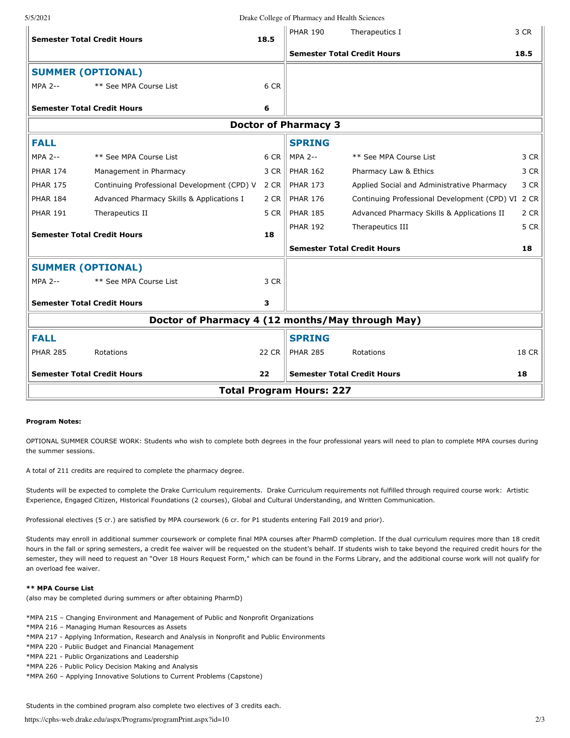| 5/5/2021                                         |                                             |       | Drake College of Pharmacy and Health Sciences |                                              |       |  |  |  |  |
|--------------------------------------------------|---------------------------------------------|-------|-----------------------------------------------|----------------------------------------------|-------|--|--|--|--|
|                                                  | <b>Semester Total Credit Hours</b>          | 18.5  | <b>PHAR 190</b>                               | Therapeutics I                               | 3 CR  |  |  |  |  |
|                                                  |                                             |       | <b>Semester Total Credit Hours</b>            |                                              | 18.5  |  |  |  |  |
| <b>SUMMER (OPTIONAL)</b>                         |                                             |       |                                               |                                              |       |  |  |  |  |
| <b>MPA 2--</b>                                   | ** See MPA Course List                      | 6 CR  |                                               |                                              |       |  |  |  |  |
|                                                  | <b>Semester Total Credit Hours</b>          | 6     |                                               |                                              |       |  |  |  |  |
| <b>Doctor of Pharmacy 3</b>                      |                                             |       |                                               |                                              |       |  |  |  |  |
| <b>FALL</b>                                      |                                             |       | <b>SPRING</b>                                 |                                              |       |  |  |  |  |
| <b>MPA 2--</b>                                   | ** See MPA Course List                      | 6 CR  | MPA 2--                                       | ** See MPA Course List                       | 3 CR  |  |  |  |  |
| <b>PHAR 174</b>                                  | Management in Pharmacy                      | 3 CR  | <b>PHAR 162</b>                               | Pharmacy Law & Ethics                        | 3 CR  |  |  |  |  |
| <b>PHAR 175</b>                                  | Continuing Professional Development (CPD) V | 2 CR  | <b>PHAR 173</b>                               | Applied Social and Administrative Pharmacy   | 3 CR  |  |  |  |  |
| <b>PHAR 184</b>                                  | Advanced Pharmacy Skills & Applications I   | 2 CR  | <b>PHAR 176</b>                               | Continuing Professional Development (CPD) VI | 2 CR  |  |  |  |  |
| <b>PHAR 191</b>                                  | Therapeutics II                             | 5 CR  | <b>PHAR 185</b>                               | Advanced Pharmacy Skills & Applications II   | 2 CR  |  |  |  |  |
| <b>Semester Total Credit Hours</b><br>18         |                                             |       | <b>PHAR 192</b>                               | Therapeutics III                             | 5 CR  |  |  |  |  |
|                                                  |                                             |       | <b>Semester Total Credit Hours</b>            |                                              | 18    |  |  |  |  |
| <b>SUMMER (OPTIONAL)</b>                         |                                             |       |                                               |                                              |       |  |  |  |  |
| <b>MPA 2--</b>                                   | ** See MPA Course List                      | 3 CR  |                                               |                                              |       |  |  |  |  |
|                                                  | <b>Semester Total Credit Hours</b>          | з     |                                               |                                              |       |  |  |  |  |
| Doctor of Pharmacy 4 (12 months/May through May) |                                             |       |                                               |                                              |       |  |  |  |  |
| <b>FALL</b>                                      |                                             |       | <b>SPRING</b>                                 |                                              |       |  |  |  |  |
| <b>PHAR 285</b>                                  | Rotations                                   | 22 CR | <b>PHAR 285</b>                               | Rotations                                    | 18 CR |  |  |  |  |
|                                                  | <b>Semester Total Credit Hours</b>          | 22    | <b>Semester Total Credit Hours</b>            |                                              | 18    |  |  |  |  |
| <b>Total Program Hours: 227</b>                  |                                             |       |                                               |                                              |       |  |  |  |  |
|                                                  |                                             |       |                                               |                                              |       |  |  |  |  |

## **Program Notes:**

OPTIONAL SUMMER COURSE WORK: Students who wish to complete both degrees in the four professional years will need to plan to complete MPA courses during the summer sessions.

A total of 211 credits are required to complete the pharmacy degree.

Students will be expected to complete the Drake Curriculum requirements. Drake Curriculum requirements not fulfilled through required course work: Artistic Experience, Engaged Citizen, Historical Foundations (2 courses), Global and Cultural Understanding, and Written Communication.

Professional electives (5 cr.) are satisfied by MPA coursework (6 cr. for P1 students entering Fall 2019 and prior).

Students may enroll in additional summer coursework or complete final MPA courses after PharmD completion. If the dual curriculum requires more than 18 credit hours in the fall or spring semesters, a credit fee waiver will be requested on the student's behalf. If students wish to take beyond the required credit hours for the semester, they will need to request an "Over 18 Hours Request Form," which can be found in the Forms Library, and the additional course work will not qualify for an overload fee waiver.

## **\*\* MPA Course List**

(also may be completed during summers or after obtaining PharmD)

\*MPA 215 – Changing Environment and Management of Public and Nonprofit Organizations

\*MPA 216 – Managing Human Resources as Assets

- \*MPA 217 Applying Information, Research and Analysis in Nonprofit and Public Environments
- \*MPA 220 Public Budget and Financial Management
- \*MPA 221 Public Organizations and Leadership
- \*MPA 226 Public Policy Decision Making and Analysis
- \*MPA 260 Applying Innovative Solutions to Current Problems (Capstone)

Students in the combined program also complete two electives of 3 credits each.